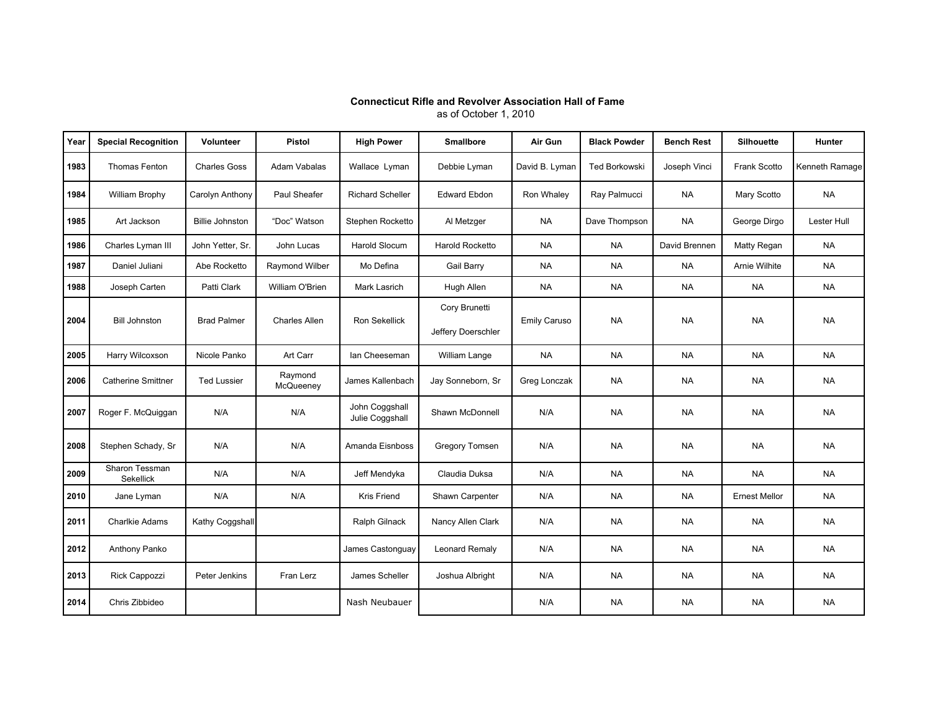## **Connecticut Rifle and Revolver Association Hall of Fame**

as of October 1, 2010

| Year | <b>Special Recognition</b>  | <b>Volunteer</b>       | Pistol               | <b>High Power</b>                 | <b>Smallbore</b>                    | Air Gun             | <b>Black Powder</b> | <b>Bench Rest</b> | <b>Silhouette</b>    | <b>Hunter</b>  |
|------|-----------------------------|------------------------|----------------------|-----------------------------------|-------------------------------------|---------------------|---------------------|-------------------|----------------------|----------------|
| 1983 | <b>Thomas Fenton</b>        | <b>Charles Goss</b>    | Adam Vabalas         | Wallace Lyman                     | Debbie Lyman                        | David B. Lyman      | Ted Borkowski       | Joseph Vinci      | Frank Scotto         | Kenneth Ramage |
| 1984 | <b>William Brophy</b>       | Carolyn Anthony        | Paul Sheafer         | <b>Richard Scheller</b>           | <b>Edward Ebdon</b>                 | Ron Whaley          | Ray Palmucci        | <b>NA</b>         | Mary Scotto          | <b>NA</b>      |
| 1985 | Art Jackson                 | <b>Billie Johnston</b> | "Doc" Watson         | Stephen Rocketto                  | Al Metzger                          | <b>NA</b>           | Dave Thompson       | NA                | George Dirgo         | Lester Hull    |
| 1986 | Charles Lyman III           | John Yetter, Sr.       | John Lucas           | <b>Harold Slocum</b>              | <b>Harold Rocketto</b>              | <b>NA</b>           | <b>NA</b>           | David Brennen     | Matty Regan          | <b>NA</b>      |
| 1987 | Daniel Juliani              | Abe Rocketto           | Raymond Wilber       | Mo Defina                         | <b>Gail Barry</b>                   | <b>NA</b>           | <b>NA</b>           | NA                | Arnie Wilhite        | <b>NA</b>      |
| 1988 | Joseph Carten               | Patti Clark            | William O'Brien      | Mark Lasrich                      | Hugh Allen                          | <b>NA</b>           | <b>NA</b>           | <b>NA</b>         | <b>NA</b>            | <b>NA</b>      |
| 2004 | <b>Bill Johnston</b>        | <b>Brad Palmer</b>     | <b>Charles Allen</b> | <b>Ron Sekellick</b>              | Cory Brunetti<br>Jeffery Doerschler | <b>Emily Caruso</b> | <b>NA</b>           | <b>NA</b>         | <b>NA</b>            | <b>NA</b>      |
| 2005 | Harry Wilcoxson             | Nicole Panko           | Art Carr             | lan Cheeseman                     | William Lange                       | <b>NA</b>           | <b>NA</b>           | <b>NA</b>         | <b>NA</b>            | <b>NA</b>      |
| 2006 | <b>Catherine Smittner</b>   | <b>Ted Lussier</b>     | Raymond<br>McQueeney | James Kallenbach                  | Jay Sonneborn, Sr                   | Greg Lonczak        | <b>NA</b>           | NA                | <b>NA</b>            | <b>NA</b>      |
| 2007 | Roger F. McQuiggan          | N/A                    | N/A                  | John Coggshall<br>Julie Coggshall | <b>Shawn McDonnell</b>              | N/A                 | <b>NA</b>           | <b>NA</b>         | <b>NA</b>            | <b>NA</b>      |
| 2008 | Stephen Schady, Sr          | N/A                    | N/A                  | Amanda Eisnboss                   | <b>Gregory Tomsen</b>               | N/A                 | <b>NA</b>           | <b>NA</b>         | <b>NA</b>            | <b>NA</b>      |
| 2009 | Sharon Tessman<br>Sekellick | N/A                    | N/A                  | Jeff Mendyka                      | Claudia Duksa                       | N/A                 | <b>NA</b>           | <b>NA</b>         | <b>NA</b>            | <b>NA</b>      |
| 2010 | Jane Lyman                  | N/A                    | N/A                  | Kris Friend                       | Shawn Carpenter                     | N/A                 | <b>NA</b>           | NA                | <b>Ernest Mellor</b> | <b>NA</b>      |
| 2011 | <b>Charlkie Adams</b>       | Kathy Coggshall        |                      | Ralph Gilnack                     | Nancy Allen Clark                   | N/A                 | <b>NA</b>           | <b>NA</b>         | <b>NA</b>            | <b>NA</b>      |
| 2012 | Anthony Panko               |                        |                      | James Castonguay                  | Leonard Remaly                      | N/A                 | <b>NA</b>           | <b>NA</b>         | <b>NA</b>            | <b>NA</b>      |
| 2013 | Rick Cappozzi               | Peter Jenkins          | Fran Lerz            | James Scheller                    | Joshua Albright                     | N/A                 | <b>NA</b>           | NA                | <b>NA</b>            | <b>NA</b>      |
| 2014 | Chris Zibbideo              |                        |                      | Nash Neubauer                     |                                     | N/A                 | <b>NA</b>           | <b>NA</b>         | <b>NA</b>            | <b>NA</b>      |